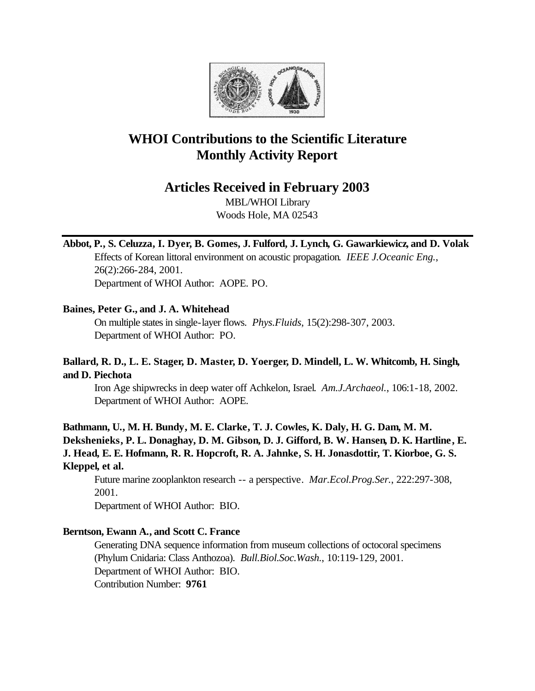

# **WHOI Contributions to the Scientific Literature Monthly Activity Report**

# **Articles Received in February 2003**

MBL/WHOI Library Woods Hole, MA 02543

# **Abbot, P., S. Celuzza, I. Dyer, B. Gomes, J. Fulford, J. Lynch, G. Gawarkiewicz, and D. Volak**

Effects of Korean littoral environment on acoustic propagation. *IEEE J.Oceanic Eng.*, 26(2):266-284, 2001. Department of WHOI Author: AOPE. PO.

### **Baines, Peter G., and J. A. Whitehead**

On multiple states in single-layer flows. *Phys.Fluids*, 15(2):298-307, 2003. Department of WHOI Author: PO.

# **Ballard, R. D., L. E. Stager, D. Master, D. Yoerger, D. Mindell, L. W. Whitcomb, H. Singh, and D. Piechota**

Iron Age shipwrecks in deep water off Achkelon, Israel. *Am.J.Archaeol.*, 106:1-18, 2002. Department of WHOI Author: AOPE.

**Bathmann, U., M. H. Bundy, M. E. Clarke, T. J. Cowles, K. Daly, H. G. Dam, M. M. Dekshenieks, P. L. Donaghay, D. M. Gibson, D. J. Gifford, B. W. Hansen, D. K. Hartline, E. J. Head, E. E. Hofmann, R. R. Hopcroft, R. A. Jahnke, S. H. Jonasdottir, T. Kiorboe, G. S. Kleppel, et al.**

Future marine zooplankton research -- a perspective. *Mar.Ecol.Prog.Ser.*, 222:297-308, 2001.

Department of WHOI Author: BIO.

# **Berntson, Ewann A., and Scott C. France**

Generating DNA sequence information from museum collections of octocoral specimens (Phylum Cnidaria: Class Anthozoa). *Bull.Biol.Soc.Wash.*, 10:119-129, 2001. Department of WHOI Author: BIO. Contribution Number: **9761**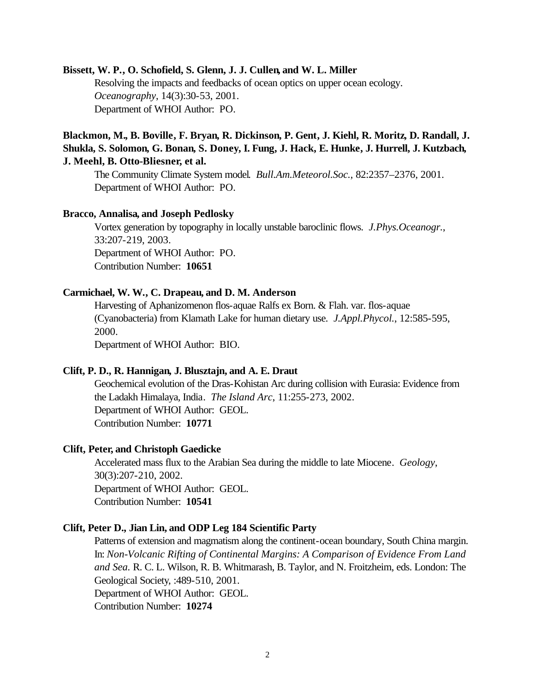#### **Bissett, W. P., O. Schofield, S. Glenn, J. J. Cullen, and W. L. Miller**

Resolving the impacts and feedbacks of ocean optics on upper ocean ecology. *Oceanography*, 14(3):30-53, 2001. Department of WHOI Author: PO.

# **Blackmon, M., B. Boville, F. Bryan, R. Dickinson, P. Gent, J. Kiehl, R. Moritz, D. Randall, J. Shukla, S. Solomon, G. Bonan, S. Doney, I. Fung, J. Hack, E. Hunke, J. Hurrell, J. Kutzbach, J. Meehl, B. Otto-Bliesner, et al.**

The Community Climate System model. *Bull.Am.Meteorol.Soc.*, 82:2357–2376, 2001. Department of WHOI Author: PO.

#### **Bracco, Annalisa, and Joseph Pedlosky**

Vortex generation by topography in locally unstable baroclinic flows. *J.Phys.Oceanogr.*, 33:207-219, 2003. Department of WHOI Author: PO. Contribution Number: **10651**

### **Carmichael, W. W., C. Drapeau, and D. M. Anderson**

Harvesting of Aphanizomenon flos-aquae Ralfs ex Born. & Flah. var. flos-aquae (Cyanobacteria) from Klamath Lake for human dietary use. *J.Appl.Phycol.*, 12:585-595, 2000.

Department of WHOI Author: BIO.

#### **Clift, P. D., R. Hannigan, J. Blusztajn, and A. E. Draut**

Geochemical evolution of the Dras-Kohistan Arc during collision with Eurasia: Evidence from the Ladakh Himalaya, India. *The Island Arc*, 11:255-273, 2002. Department of WHOI Author: GEOL. Contribution Number: **10771**

#### **Clift, Peter, and Christoph Gaedicke**

Accelerated mass flux to the Arabian Sea during the middle to late Miocene. *Geology*, 30(3):207-210, 2002. Department of WHOI Author: GEOL. Contribution Number: **10541**

#### **Clift, Peter D., Jian Lin, and ODP Leg 184 Scientific Party**

Patterns of extension and magmatism along the continent-ocean boundary, South China margin. In: *Non-Volcanic Rifting of Continental Margins: A Comparison of Evidence From Land and Sea.* R. C. L. Wilson, R. B. Whitmarash, B. Taylor, and N. Froitzheim, eds. London: The Geological Society, :489-510, 2001. Department of WHOI Author: GEOL. Contribution Number: **10274**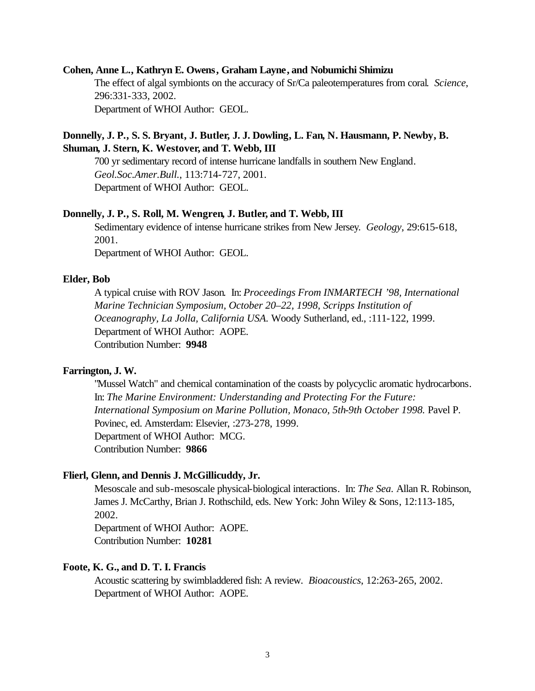#### **Cohen, Anne L., Kathryn E. Owens, Graham Layne, and Nobumichi Shimizu**

The effect of algal symbionts on the accuracy of Sr/Ca paleotemperatures from coral. *Science*, 296:331-333, 2002. Department of WHOI Author: GEOL.

### **Donnelly, J. P., S. S. Bryant, J. Butler, J. J. Dowling, L. Fan, N. Hausmann, P. Newby, B. Shuman, J. Stern, K. Westover, and T. Webb, III**

700 yr sedimentary record of intense hurricane landfalls in southern New England. *Geol.Soc.Amer.Bull.*, 113:714-727, 2001. Department of WHOI Author: GEOL.

#### **Donnelly, J. P., S. Roll, M. Wengren, J. Butler, and T. Webb, III**

Sedimentary evidence of intense hurricane strikes from New Jersey. *Geology*, 29:615-618, 2001.

Department of WHOI Author: GEOL.

#### **Elder, Bob**

A typical cruise with ROV Jason. In: *Proceedings From INMARTECH '98, International Marine Technician Symposium, October 20–22, 1998, Scripps Institution of Oceanography, La Jolla, California USA.* Woody Sutherland, ed., :111-122, 1999. Department of WHOI Author: AOPE. Contribution Number: **9948**

#### **Farrington, J. W.**

"Mussel Watch" and chemical contamination of the coasts by polycyclic aromatic hydrocarbons. In: *The Marine Environment: Understanding and Protecting For the Future: International Symposium on Marine Pollution, Monaco, 5th-9th October 1998.* Pavel P. Povinec, ed. Amsterdam: Elsevier, :273-278, 1999. Department of WHOI Author: MCG. Contribution Number: **9866**

#### **Flierl, Glenn, and Dennis J. McGillicuddy, Jr.**

Mesoscale and sub-mesoscale physical-biological interactions. In: *The Sea.* Allan R. Robinson, James J. McCarthy, Brian J. Rothschild, eds. New York: John Wiley & Sons, 12:113-185, 2002.

Department of WHOI Author: AOPE. Contribution Number: **10281**

### **Foote, K. G., and D. T. I. Francis**

Acoustic scattering by swimbladdered fish: A review. *Bioacoustics*, 12:263-265, 2002. Department of WHOI Author: AOPE.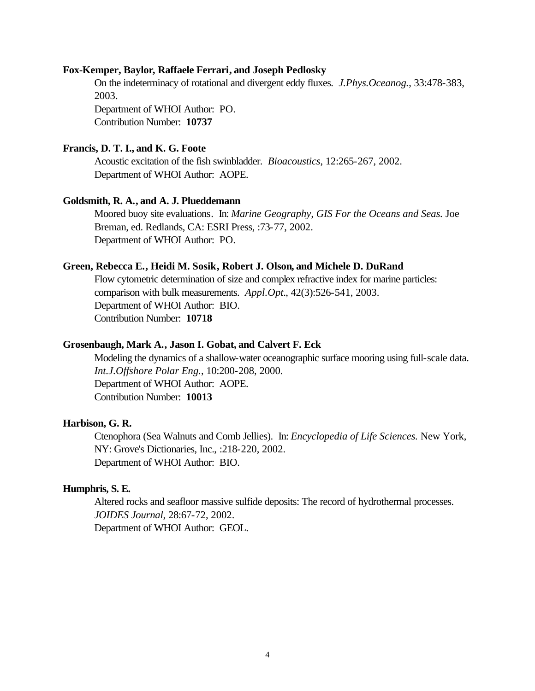#### **Fox-Kemper, Baylor, Raffaele Ferrari, and Joseph Pedlosky**

On the indeterminacy of rotational and divergent eddy fluxes. *J.Phys.Oceanog.*, 33:478-383, 2003.

Department of WHOI Author: PO. Contribution Number: **10737**

### **Francis, D. T. I., and K. G. Foote**

Acoustic excitation of the fish swinbladder. *Bioacoustics*, 12:265-267, 2002. Department of WHOI Author: AOPE.

#### **Goldsmith, R. A., and A. J. Plueddemann**

Moored buoy site evaluations. In: *Marine Geography, GIS For the Oceans and Seas.* Joe Breman, ed. Redlands, CA: ESRI Press, :73-77, 2002. Department of WHOI Author: PO.

#### **Green, Rebecca E., Heidi M. Sosik, Robert J. Olson, and Michele D. DuRand**

Flow cytometric determination of size and complex refractive index for marine particles: comparison with bulk measurements. *Appl.Opt.*, 42(3):526-541, 2003. Department of WHOI Author: BIO. Contribution Number: **10718**

#### **Grosenbaugh, Mark A., Jason I. Gobat, and Calvert F. Eck**

Modeling the dynamics of a shallow-water oceanographic surface mooring using full-scale data. *Int.J.Offshore Polar Eng.*, 10:200-208, 2000. Department of WHOI Author: AOPE. Contribution Number: **10013**

#### **Harbison, G. R.**

Ctenophora (Sea Walnuts and Comb Jellies). In: *Encyclopedia of Life Sciences.* New York, NY: Grove's Dictionaries, Inc., :218-220, 2002. Department of WHOI Author: BIO.

### **Humphris, S. E.**

Altered rocks and seafloor massive sulfide deposits: The record of hydrothermal processes. *JOIDES Journal*, 28:67-72, 2002. Department of WHOI Author: GEOL.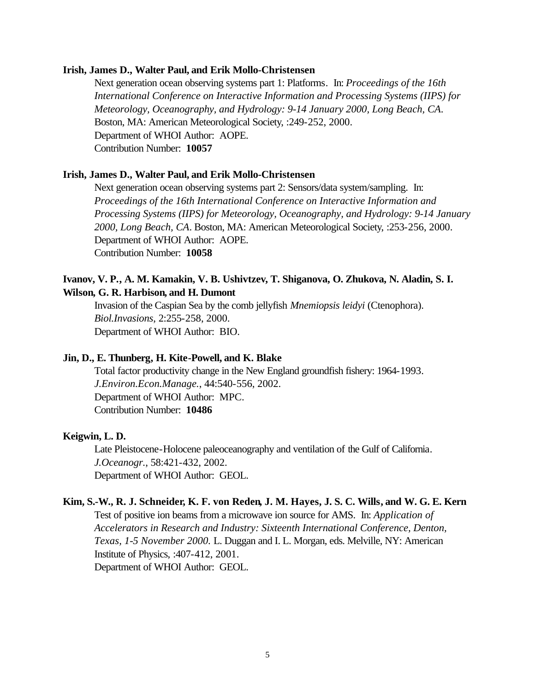#### **Irish, James D., Walter Paul, and Erik Mollo-Christensen**

Next generation ocean observing systems part 1: Platforms. In: *Proceedings of the 16th International Conference on Interactive Information and Processing Systems (IIPS) for Meteorology, Oceanography, and Hydrology: 9-14 January 2000, Long Beach, CA*. Boston, MA: American Meteorological Society, :249-252, 2000. Department of WHOI Author: AOPE. Contribution Number: **10057**

### **Irish, James D., Walter Paul, and Erik Mollo-Christensen**

Next generation ocean observing systems part 2: Sensors/data system/sampling. In: *Proceedings of the 16th International Conference on Interactive Information and Processing Systems (IIPS) for Meteorology, Oceanography, and Hydrology: 9-14 January 2000, Long Beach, CA*. Boston, MA: American Meteorological Society, :253-256, 2000. Department of WHOI Author: AOPE. Contribution Number: **10058**

### **Ivanov, V. P., A. M. Kamakin, V. B. Ushivtzev, T. Shiganova, O. Zhukova, N. Aladin, S. I. Wilson, G. R. Harbison, and H. Dumont**

Invasion of the Caspian Sea by the comb jellyfish *Mnemiopsis leidyi* (Ctenophora). *Biol.Invasions*, 2:255-258, 2000. Department of WHOI Author: BIO.

#### **Jin, D., E. Thunberg, H. Kite-Powell, and K. Blake**

Total factor productivity change in the New England groundfish fishery: 1964-1993. *J.Environ.Econ.Manage.*, 44:540-556, 2002. Department of WHOI Author: MPC. Contribution Number: **10486**

#### **Keigwin, L. D.**

Late Pleistocene-Holocene paleoceanography and ventilation of the Gulf of California. *J.Oceanogr.*, 58:421-432, 2002. Department of WHOI Author: GEOL.

# **Kim, S.-W., R. J. Schneider, K. F. von Reden, J. M. Hayes, J. S. C. Wills, and W. G. E. Kern**

Test of positive ion beams from a microwave ion source for AMS. In: *Application of Accelerators in Research and Industry: Sixteenth International Conference, Denton, Texas, 1-5 November 2000.* L. Duggan and I. L. Morgan, eds. Melville, NY: American Institute of Physics, :407-412, 2001. Department of WHOI Author: GEOL.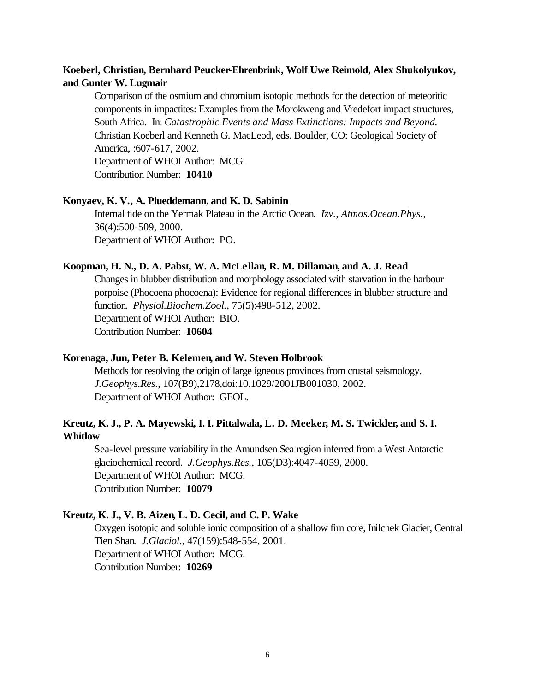# **Koeberl, Christian, Bernhard Peucker-Ehrenbrink, Wolf Uwe Reimold, Alex Shukolyukov, and Gunter W. Lugmair**

Comparison of the osmium and chromium isotopic methods for the detection of meteoritic components in impactites: Examples from the Morokweng and Vredefort impact structures, South Africa. In: *Catastrophic Events and Mass Extinctions: Impacts and Beyond.*  Christian Koeberl and Kenneth G. MacLeod, eds. Boulder, CO: Geological Society of America, :607-617, 2002.

Department of WHOI Author: MCG. Contribution Number: **10410**

### **Konyaev, K. V., A. Plueddemann, and K. D. Sabinin**

Internal tide on the Yermak Plateau in the Arctic Ocean. *Izv., Atmos.Ocean.Phys.*, 36(4):500-509, 2000. Department of WHOI Author: PO.

#### **Koopman, H. N., D. A. Pabst, W. A. McLellan, R. M. Dillaman, and A. J. Read**

Changes in blubber distribution and morphology associated with starvation in the harbour porpoise (Phocoena phocoena): Evidence for regional differences in blubber structure and function. *Physiol.Biochem.Zool.*, 75(5):498-512, 2002. Department of WHOI Author: BIO. Contribution Number: **10604**

#### **Korenaga, Jun, Peter B. Kelemen, and W. Steven Holbrook**

Methods for resolving the origin of large igneous provinces from crustal seismology. *J.Geophys.Res.*, 107(B9),2178,doi:10.1029/2001JB001030, 2002. Department of WHOI Author: GEOL.

# **Kreutz, K. J., P. A. Mayewski, I. I. Pittalwala, L. D. Meeker, M. S. Twickler, and S. I. Whitlow**

Sea-level pressure variability in the Amundsen Sea region inferred from a West Antarctic glaciochemical record. *J.Geophys.Res.*, 105(D3):4047-4059, 2000. Department of WHOI Author: MCG. Contribution Number: **10079**

#### **Kreutz, K. J., V. B. Aizen, L. D. Cecil, and C. P. Wake**

Oxygen isotopic and soluble ionic composition of a shallow firn core, Inilchek Glacier, Central Tien Shan. *J.Glaciol.*, 47(159):548-554, 2001. Department of WHOI Author: MCG. Contribution Number: **10269**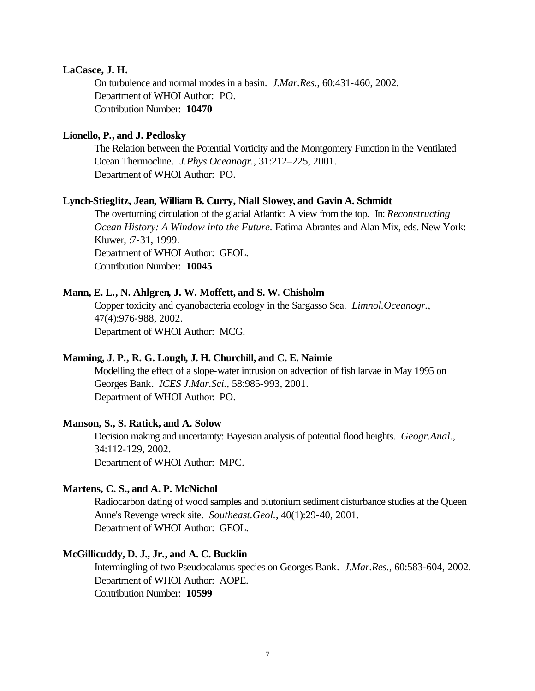#### **LaCasce, J. H.**

On turbulence and normal modes in a basin. *J.Mar.Res.*, 60:431-460, 2002. Department of WHOI Author: PO. Contribution Number: **10470**

#### **Lionello, P., and J. Pedlosky**

The Relation between the Potential Vorticity and the Montgomery Function in the Ventilated Ocean Thermocline. *J.Phys.Oceanogr.*, 31:212–225, 2001. Department of WHOI Author: PO.

#### **Lynch-Stieglitz, Jean, William B. Curry, Niall Slowey, and Gavin A. Schmidt**

The overturning circulation of the glacial Atlantic: A view from the top. In: *Reconstructing Ocean History: A Window into the Future.* Fatima Abrantes and Alan Mix, eds. New York: Kluwer, :7-31, 1999. Department of WHOI Author: GEOL. Contribution Number: **10045**

#### **Mann, E. L., N. Ahlgren, J. W. Moffett, and S. W. Chisholm**

Copper toxicity and cyanobacteria ecology in the Sargasso Sea. *Limnol.Oceanogr.*, 47(4):976-988, 2002. Department of WHOI Author: MCG.

#### **Manning, J. P., R. G. Lough, J. H. Churchill, and C. E. Naimie**

Modelling the effect of a slope-water intrusion on advection of fish larvae in May 1995 on Georges Bank. *ICES J.Mar.Sci.*, 58:985-993, 2001. Department of WHOI Author: PO.

#### **Manson, S., S. Ratick, and A. Solow**

Decision making and uncertainty: Bayesian analysis of potential flood heights. *Geogr.Anal.*, 34:112-129, 2002. Department of WHOI Author: MPC.

#### **Martens, C. S., and A. P. McNichol**

Radiocarbon dating of wood samples and plutonium sediment disturbance studies at the Queen Anne's Revenge wreck site. *Southeast.Geol.*, 40(1):29-40, 2001. Department of WHOI Author: GEOL.

### **McGillicuddy, D. J., Jr., and A. C. Bucklin**

Intermingling of two Pseudocalanus species on Georges Bank. *J.Mar.Res.*, 60:583-604, 2002. Department of WHOI Author: AOPE. Contribution Number: **10599**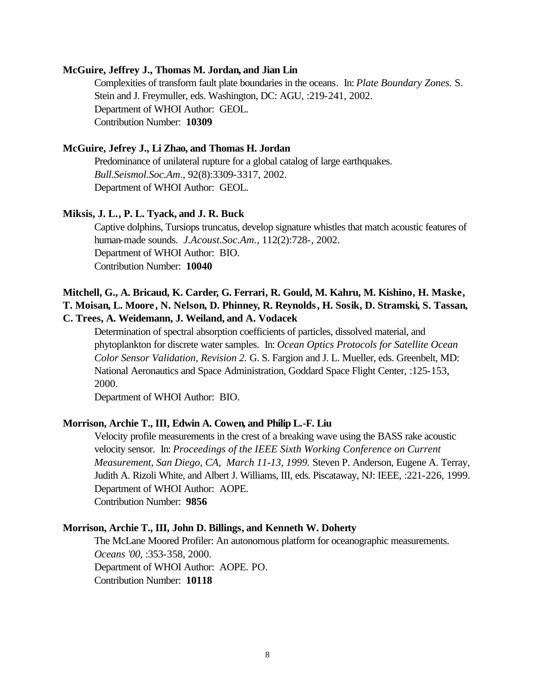#### **McGuire, Jeffrey J., Thomas M. Jordan, and Jian Lin**

Complexities of transform fault plate boundaries in the oceans. In: *Plate Boundary Zones.* S. Stein and J. Freymuller, eds. Washington, DC: AGU, :219-241, 2002. Department of WHOI Author: GEOL. Contribution Number: **10309**

### **McGuire, Jefrey J., Li Zhao, and Thomas H. Jordan**

Predominance of unilateral rupture for a global catalog of large earthquakes. *Bull.Seismol.Soc.Am.*, 92(8):3309-3317, 2002. Department of WHOI Author: GEOL.

### **Miksis, J. L., P. L. Tyack, and J. R. Buck**

Captive dolphins, Tursiops truncatus, develop signature whistles that match acoustic features of human-made sounds. *J.Acoust.Soc.Am.*, 112(2):728-, 2002. Department of WHOI Author: BIO. Contribution Number: **10040**

# **Mitchell, G., A. Bricaud, K. Carder, G. Ferrari, R. Gould, M. Kahru, M. Kishino, H. Maske, T. Moisan, L. Moore, N. Nelson, D. Phinney, R. Reynolds, H. Sosik, D. Stramski, S. Tassan, C. Trees, A. Weidemann, J. Weiland, and A. Vodacek**

Determination of spectral absorption coefficients of particles, dissolved material, and phytoplankton for discrete water samples. In: *Ocean Optics Protocols for Satellite Ocean Color Sensor Validation, Revision 2.* G. S. Fargion and J. L. Mueller, eds. Greenbelt, MD: National Aeronautics and Space Administration, Goddard Space Flight Center, :125-153, 2000.

Department of WHOI Author: BIO.

#### **Morrison, Archie T., III, Edwin A. Cowen, and Philip L.-F. Liu**

Velocity profile measurements in the crest of a breaking wave using the BASS rake acoustic velocity sensor. In: *Proceedings of the IEEE Sixth Working Conference on Current Measurement, San Diego, CA, March 11-13, 1999.* Steven P. Anderson, Eugene A. Terray, Judith A. Rizoli White, and Albert J. Williams, III, eds. Piscataway, NJ: IEEE, :221-226, 1999. Department of WHOI Author: AOPE. Contribution Number: **9856**

#### **Morrison, Archie T., III, John D. Billings, and Kenneth W. Doherty**

The McLane Moored Profiler: An autonomous platform for oceanographic measurements. *Oceans '00*, :353-358, 2000. Department of WHOI Author: AOPE. PO. Contribution Number: **10118**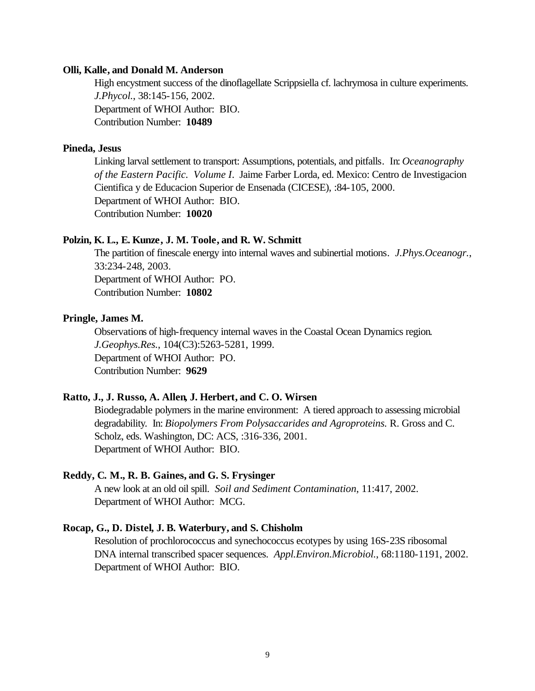#### **Olli, Kalle, and Donald M. Anderson**

High encystment success of the dinoflagellate Scrippsiella cf. lachrymosa in culture experiments. *J.Phycol.*, 38:145-156, 2002. Department of WHOI Author: BIO. Contribution Number: **10489**

### **Pineda, Jesus**

Linking larval settlement to transport: Assumptions, potentials, and pitfalls. In: *Oceanography of the Eastern Pacific. Volume I*. Jaime Farber Lorda, ed. Mexico: Centro de Investigacion Cientifica y de Educacion Superior de Ensenada (CICESE), :84-105, 2000. Department of WHOI Author: BIO. Contribution Number: **10020**

#### **Polzin, K. L., E. Kunze, J. M. Toole, and R. W. Schmitt**

The partition of finescale energy into internal waves and subinertial motions. *J.Phys.Oceanogr.*, 33:234-248, 2003. Department of WHOI Author: PO. Contribution Number: **10802**

### **Pringle, James M.**

Observations of high-frequency internal waves in the Coastal Ocean Dynamics region. *J.Geophys.Res.*, 104(C3):5263-5281, 1999. Department of WHOI Author: PO. Contribution Number: **9629**

#### **Ratto, J., J. Russo, A. Allen, J. Herbert, and C. O. Wirsen**

Biodegradable polymers in the marine environment: A tiered approach to assessing microbial degradability. In: *Biopolymers From Polysaccarides and Agroproteins.* R. Gross and C. Scholz, eds. Washington, DC: ACS, :316-336, 2001. Department of WHOI Author: BIO.

#### **Reddy, C. M., R. B. Gaines, and G. S. Frysinger**

A new look at an old oil spill. *Soil and Sediment Contamination*, 11:417, 2002. Department of WHOI Author: MCG.

#### **Rocap, G., D. Distel, J. B. Waterbury, and S. Chisholm**

Resolution of prochlorococcus and synechococcus ecotypes by using 16S-23S ribosomal DNA internal transcribed spacer sequences. *Appl.Environ.Microbiol.*, 68:1180-1191, 2002. Department of WHOI Author: BIO.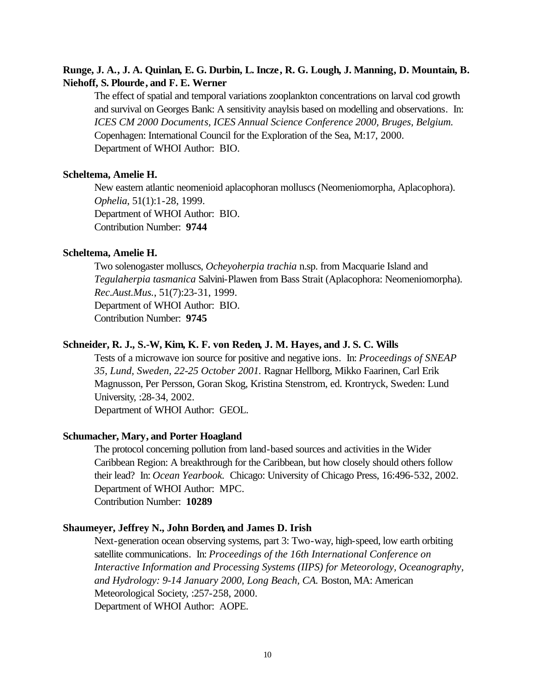### **Runge, J. A., J. A. Quinlan, E. G. Durbin, L. Incze, R. G. Lough, J. Manning, D. Mountain, B. Niehoff, S. Plourde, and F. E. Werner**

The effect of spatial and temporal variations zooplankton concentrations on larval cod growth and survival on Georges Bank: A sensitivity anaylsis based on modelling and observations. In: *ICES CM 2000 Documents, ICES Annual Science Conference 2000, Bruges, Belgium.*  Copenhagen: International Council for the Exploration of the Sea, M:17, 2000. Department of WHOI Author: BIO.

#### **Scheltema, Amelie H.**

New eastern atlantic neomenioid aplacophoran molluscs (Neomeniomorpha, Aplacophora). *Ophelia*, 51(1):1-28, 1999. Department of WHOI Author: BIO. Contribution Number: **9744**

#### **Scheltema, Amelie H.**

Two solenogaster molluscs, *Ocheyoherpia trachia* n.sp. from Macquarie Island and *Tegulaherpia tasmanica* Salvini-Plawen from Bass Strait (Aplacophora: Neomeniomorpha). *Rec.Aust.Mus.*, 51(7):23-31, 1999. Department of WHOI Author: BIO. Contribution Number: **9745**

#### **Schneider, R. J., S.-W, Kim, K. F. von Reden, J. M. Hayes, and J. S. C. Wills**

Tests of a microwave ion source for positive and negative ions. In: *Proceedings of SNEAP 35, Lund, Sweden, 22-25 October 2001.* Ragnar Hellborg, Mikko Faarinen, Carl Erik Magnusson, Per Persson, Goran Skog, Kristina Stenstrom, ed. Krontryck, Sweden: Lund University, :28-34, 2002.

Department of WHOI Author: GEOL.

### **Schumacher, Mary, and Porter Hoagland**

The protocol concerning pollution from land-based sources and activities in the Wider Caribbean Region: A breakthrough for the Caribbean, but how closely should others follow their lead? In: *Ocean Yearbook.* Chicago: University of Chicago Press, 16:496-532, 2002. Department of WHOI Author: MPC. Contribution Number: **10289**

#### **Shaumeyer, Jeffrey N., John Borden, and James D. Irish**

Next-generation ocean observing systems, part 3: Two-way, high-speed, low earth orbiting satellite communications. In: *Proceedings of the 16th International Conference on Interactive Information and Processing Systems (IIPS) for Meteorology, Oceanography, and Hydrology: 9-14 January 2000, Long Beach, CA.* Boston, MA: American Meteorological Society, :257-258, 2000. Department of WHOI Author: AOPE.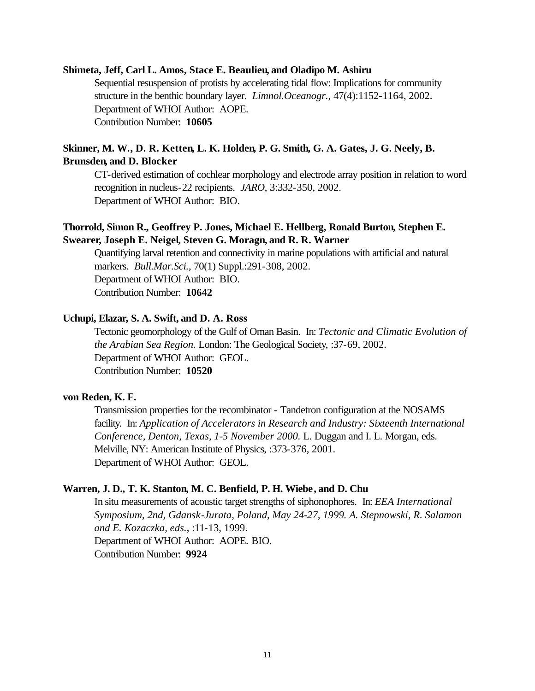#### **Shimeta, Jeff, Carl L. Amos, Stace E. Beaulieu, and Oladipo M. Ashiru**

Sequential resuspension of protists by accelerating tidal flow: Implications for community structure in the benthic boundary layer. *Limnol.Oceanogr.*, 47(4):1152-1164, 2002. Department of WHOI Author: AOPE. Contribution Number: **10605**

# **Skinner, M. W., D. R. Ketten, L. K. Holden, P. G. Smith, G. A. Gates, J. G. Neely, B. Brunsden, and D. Blocker**

CT-derived estimation of cochlear morphology and electrode array position in relation to word recognition in nucleus-22 recipients. *JARO*, 3:332-350, 2002. Department of WHOI Author: BIO.

## **Thorrold, Simon R., Geoffrey P. Jones, Michael E. Hellberg, Ronald Burton, Stephen E. Swearer, Joseph E. Neigel, Steven G. Moragn, and R. R. Warner**

Quantifying larval retention and connectivity in marine populations with artificial and natural markers. *Bull.Mar.Sci.*, 70(1) Suppl.:291-308, 2002. Department of WHOI Author: BIO. Contribution Number: **10642**

### **Uchupi, Elazar, S. A. Swift, and D. A. Ross**

Tectonic geomorphology of the Gulf of Oman Basin. In: *Tectonic and Climatic Evolution of the Arabian Sea Region.* London: The Geological Society, :37-69, 2002. Department of WHOI Author: GEOL. Contribution Number: **10520**

#### **von Reden, K. F.**

Transmission properties for the recombinator - Tandetron configuration at the NOSAMS facility. In: *Application of Accelerators in Research and Industry: Sixteenth International Conference, Denton, Texas, 1-5 November 2000.* L. Duggan and I. L. Morgan, eds. Melville, NY: American Institute of Physics, :373-376, 2001. Department of WHOI Author: GEOL.

### **Warren, J. D., T. K. Stanton, M. C. Benfield, P. H. Wiebe, and D. Chu**

In situ measurements of acoustic target strengths of siphonophores. In: *EEA International Symposium, 2nd, Gdansk-Jurata, Poland, May 24-27, 1999. A. Stepnowski, R. Salamon and E. Kozaczka, eds.*, :11-13, 1999. Department of WHOI Author: AOPE. BIO. Contribution Number: **9924**